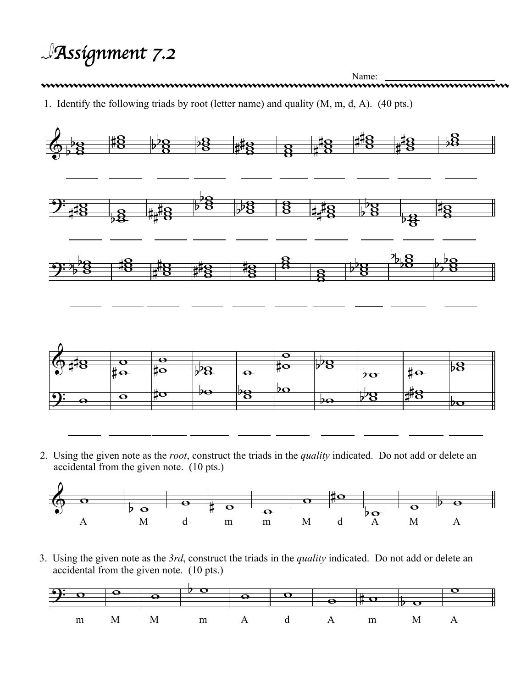*Assignment 7.2*

Name: <u>Name: Name: The Same: Aname: Same: Aname: Same: Aname: Same: Aname: Same: Aname: Same: Aname: Same: Same: Aname: Same: Aname: Same: Aname: Same: Same: Same: Same: Same: Name: Same: Same: Same: Same: Same: Same: Same</u> 1. Identify the following triads by root (letter name) and quality (M, m, d, A). (40 pts.)



2. Using the given note as the *root*, construct the triads in the *quality* indicated. Do not add or delete an accidental from the given note. (10 pts.)



3. Using the given note as the *3rd*, construct the triads in the *quality* indicated. Do not add or delete an accidental from the given note. (10 pts.)